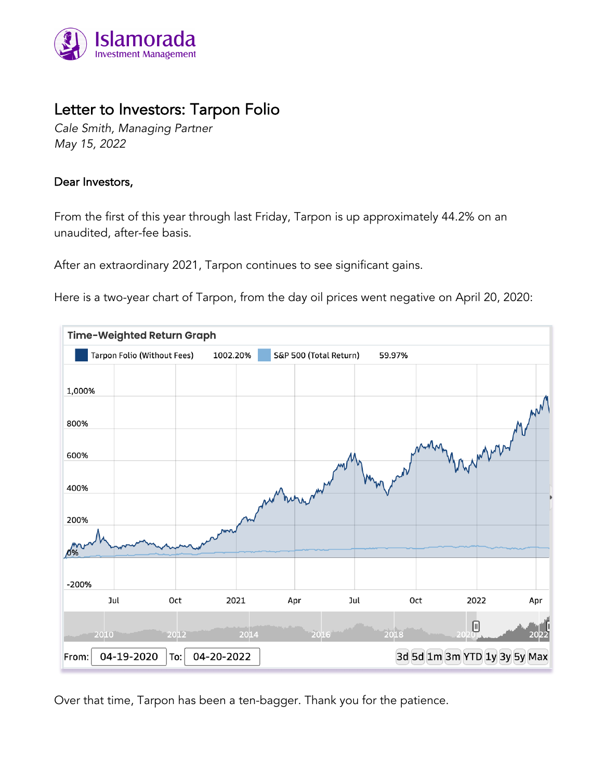

# Letter to Investors: Tarpon Folio

*Cale Smith, Managing Partner May 15, 2022*

# Dear Investors,

From the first of this year through last Friday, Tarpon is up approximately 44.2% on an unaudited, after-fee basis.

After an extraordinary 2021, Tarpon continues to see significant gains.

Here is a two-year chart of Tarpon, from the day oil prices went negative on April 20, 2020:



Over that time, Tarpon has been a ten-bagger. Thank you for the patience.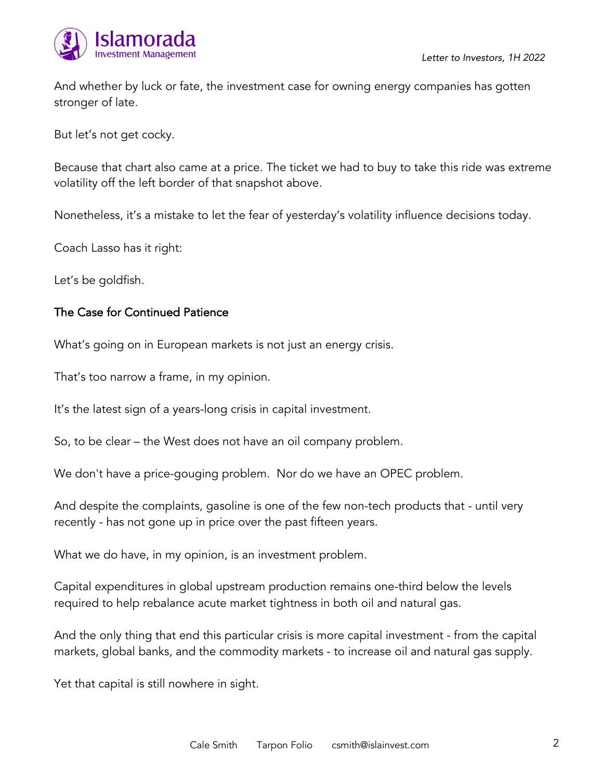

And whether by luck or fate, the investment case for owning energy companies has gotten stronger of late.

But let's not get cocky.

Because that chart also came at a price. The ticket we had to buy to take this ride was extreme volatility off the left border of that snapshot above.

Nonetheless, it's a mistake to let the fear of yesterday's volatility influence decisions today.

Coach Lasso has it right:

Let's be goldfish.

#### The Case for Continued Patience

What's going on in European markets is not just an energy crisis.

That's too narrow a frame, in my opinion.

It's the latest sign of a years-long crisis in capital investment.

So, to be clear – the West does not have an oil company problem.

We don't have a price-gouging problem. Nor do we have an OPEC problem.

And despite the complaints, gasoline is one of the few non-tech products that - until very recently - has not gone up in price over the past fifteen years.

What we do have, in my opinion, is an investment problem.

Capital expenditures in global upstream production remains one-third below the levels required to help rebalance acute market tightness in both oil and natural gas.

And the only thing that end this particular crisis is more capital investment - from the capital markets, global banks, and the commodity markets - to increase oil and natural gas supply.

Yet that capital is still nowhere in sight.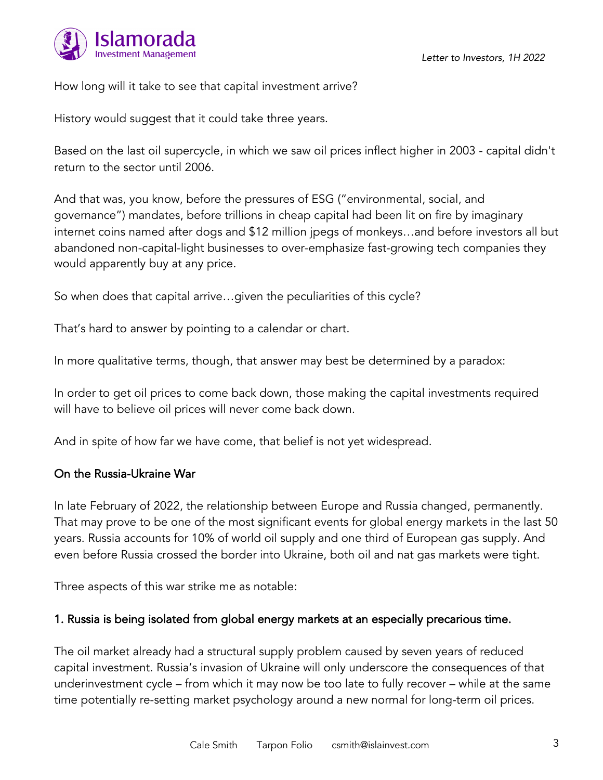

How long will it take to see that capital investment arrive?

History would suggest that it could take three years.

Based on the last oil supercycle, in which we saw oil prices inflect higher in 2003 - capital didn't return to the sector until 2006.

And that was, you know, before the pressures of ESG ("environmental, social, and governance") mandates, before trillions in cheap capital had been lit on fire by imaginary internet coins named after dogs and \$12 million jpegs of monkeys…and before investors all but abandoned non-capital-light businesses to over-emphasize fast-growing tech companies they would apparently buy at any price.

So when does that capital arrive…given the peculiarities of this cycle?

That's hard to answer by pointing to a calendar or chart.

In more qualitative terms, though, that answer may best be determined by a paradox:

In order to get oil prices to come back down, those making the capital investments required will have to believe oil prices will never come back down.

And in spite of how far we have come, that belief is not yet widespread.

#### On the Russia-Ukraine War

In late February of 2022, the relationship between Europe and Russia changed, permanently. That may prove to be one of the most significant events for global energy markets in the last 50 years. Russia accounts for 10% of world oil supply and one third of European gas supply. And even before Russia crossed the border into Ukraine, both oil and nat gas markets were tight.

Three aspects of this war strike me as notable:

## 1. Russia is being isolated from global energy markets at an especially precarious time.

The oil market already had a structural supply problem caused by seven years of reduced capital investment. Russia's invasion of Ukraine will only underscore the consequences of that underinvestment cycle – from which it may now be too late to fully recover – while at the same time potentially re-setting market psychology around a new normal for long-term oil prices.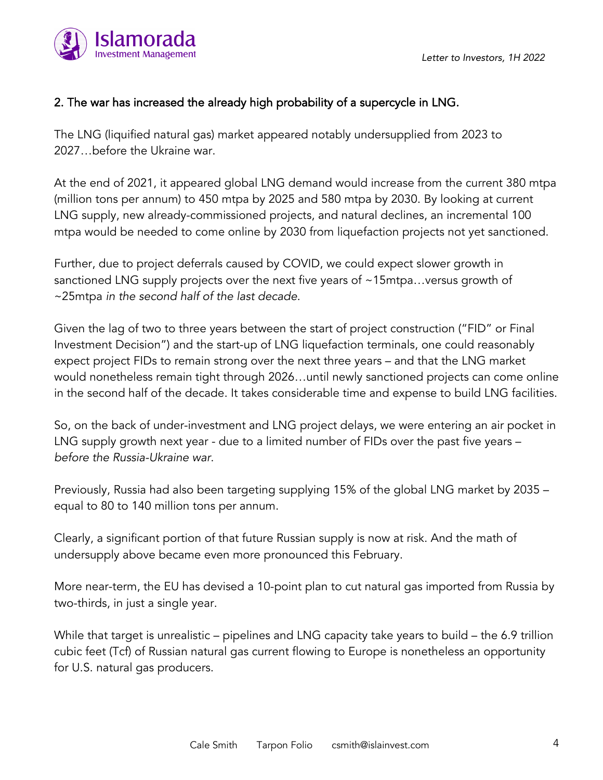

# 2. The war has increased the already high probability of a supercycle in LNG.

The LNG (liquified natural gas) market appeared notably undersupplied from 2023 to 2027…before the Ukraine war.

At the end of 2021, it appeared global LNG demand would increase from the current 380 mtpa (million tons per annum) to 450 mtpa by 2025 and 580 mtpa by 2030. By looking at current LNG supply, new already-commissioned projects, and natural declines, an incremental 100 mtpa would be needed to come online by 2030 from liquefaction projects not yet sanctioned.

Further, due to project deferrals caused by COVID, we could expect slower growth in sanctioned LNG supply projects over the next five years of ~15mtpa...versus growth of ~25mtpa *in the second half of the last decade*.

Given the lag of two to three years between the start of project construction ("FID" or Final Investment Decision") and the start-up of LNG liquefaction terminals, one could reasonably expect project FIDs to remain strong over the next three years – and that the LNG market would nonetheless remain tight through 2026…until newly sanctioned projects can come online in the second half of the decade. It takes considerable time and expense to build LNG facilities.

So, on the back of under-investment and LNG project delays, we were entering an air pocket in LNG supply growth next year - due to a limited number of FIDs over the past five years – *before the Russia-Ukraine war*.

Previously, Russia had also been targeting supplying 15% of the global LNG market by 2035 – equal to 80 to 140 million tons per annum.

Clearly, a significant portion of that future Russian supply is now at risk. And the math of undersupply above became even more pronounced this February.

More near-term, the EU has devised a 10-point plan to cut natural gas imported from Russia by two-thirds, in just a single year.

While that target is unrealistic – pipelines and LNG capacity take years to build – the 6.9 trillion cubic feet (Tcf) of Russian natural gas current flowing to Europe is nonetheless an opportunity for U.S. natural gas producers.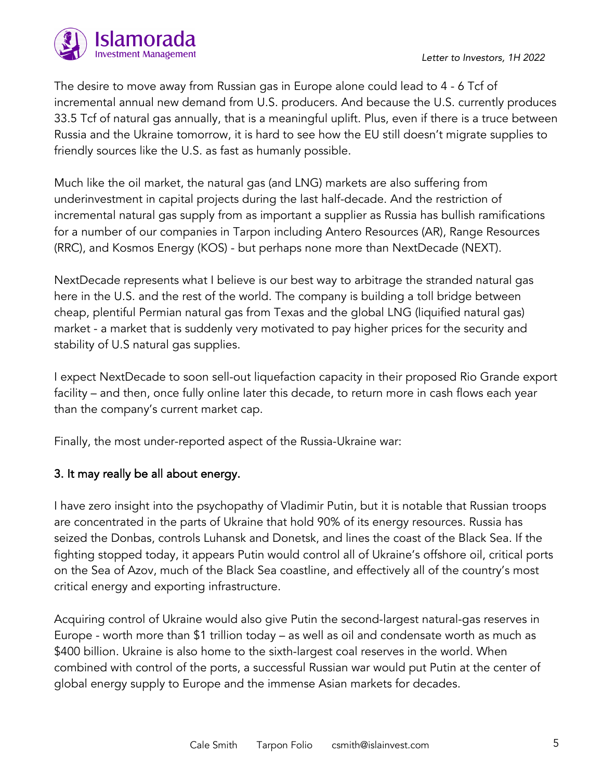The desire to move away from Russian gas in Europe alone could lead to 4 - 6 Tcf of incremental annual new demand from U.S. producers. And because the U.S. currently produces 33.5 Tcf of natural gas annually, that is a meaningful uplift. Plus, even if there is a truce between Russia and the Ukraine tomorrow, it is hard to see how the EU still doesn't migrate supplies to friendly sources like the U.S. as fast as humanly possible.

Much like the oil market, the natural gas (and LNG) markets are also suffering from underinvestment in capital projects during the last half-decade. And the restriction of incremental natural gas supply from as important a supplier as Russia has bullish ramifications for a number of our companies in Tarpon including Antero Resources (AR), Range Resources (RRC), and Kosmos Energy (KOS) - but perhaps none more than NextDecade (NEXT).

NextDecade represents what I believe is our best way to arbitrage the stranded natural gas here in the U.S. and the rest of the world. The company is building a toll bridge between cheap, plentiful Permian natural gas from Texas and the global LNG (liquified natural gas) market - a market that is suddenly very motivated to pay higher prices for the security and stability of U.S natural gas supplies.

I expect NextDecade to soon sell-out liquefaction capacity in their proposed Rio Grande export facility – and then, once fully online later this decade, to return more in cash flows each year than the company's current market cap.

Finally, the most under-reported aspect of the Russia-Ukraine war:

## 3. It may really be all about energy.

I have zero insight into the psychopathy of Vladimir Putin, but it is notable that Russian troops are concentrated in the parts of Ukraine that hold 90% of its energy resources. Russia has seized the Donbas, controls Luhansk and Donetsk, and lines the coast of the Black Sea. If the fighting stopped today, it appears Putin would control all of Ukraine's offshore oil, critical ports on the Sea of Azov, much of the Black Sea coastline, and effectively all of the country's most critical energy and exporting infrastructure.

Acquiring control of Ukraine would also give Putin the second-largest natural-gas reserves in Europe - worth more than \$1 trillion today – as well as oil and condensate worth as much as \$400 billion. Ukraine is also home to the sixth-largest coal reserves in the world. When combined with control of the ports, a successful Russian war would put Putin at the center of global energy supply to Europe and the immense Asian markets for decades.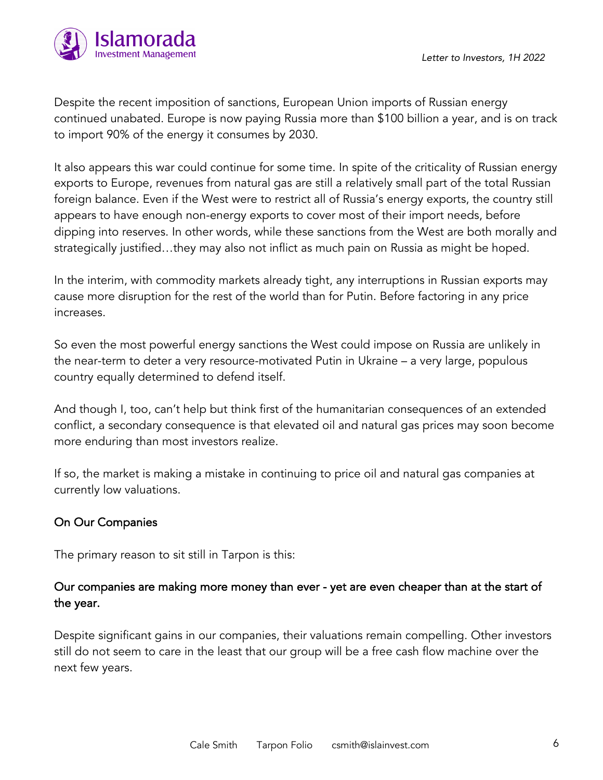

Despite the recent imposition of sanctions, European Union imports of Russian energy continued unabated. Europe is now paying Russia more than \$100 billion a year, and is on track to import 90% of the energy it consumes by 2030.

It also appears this war could continue for some time. In spite of the criticality of Russian energy exports to Europe, revenues from natural gas are still a relatively small part of the total Russian foreign balance. Even if the West were to restrict all of Russia's energy exports, the country still appears to have enough non-energy exports to cover most of their import needs, before dipping into reserves. In other words, while these sanctions from the West are both morally and strategically justified…they may also not inflict as much pain on Russia as might be hoped.

In the interim, with commodity markets already tight, any interruptions in Russian exports may cause more disruption for the rest of the world than for Putin. Before factoring in any price increases.

So even the most powerful energy sanctions the West could impose on Russia are unlikely in the near-term to deter a very resource-motivated Putin in Ukraine – a very large, populous country equally determined to defend itself.

And though I, too, can't help but think first of the humanitarian consequences of an extended conflict, a secondary consequence is that elevated oil and natural gas prices may soon become more enduring than most investors realize.

If so, the market is making a mistake in continuing to price oil and natural gas companies at currently low valuations.

## On Our Companies

The primary reason to sit still in Tarpon is this:

# Our companies are making more money than ever - yet are even cheaper than at the start of the year.

Despite significant gains in our companies, their valuations remain compelling. Other investors still do not seem to care in the least that our group will be a free cash flow machine over the next few years.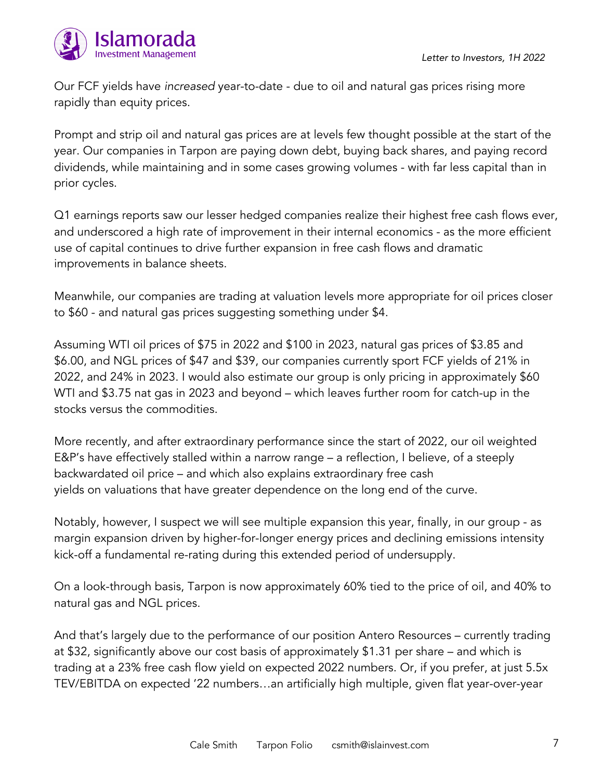

Our FCF yields have *increased* year-to-date - due to oil and natural gas prices rising more rapidly than equity prices.

Prompt and strip oil and natural gas prices are at levels few thought possible at the start of the year. Our companies in Tarpon are paying down debt, buying back shares, and paying record dividends, while maintaining and in some cases growing volumes - with far less capital than in prior cycles.

Q1 earnings reports saw our lesser hedged companies realize their highest free cash flows ever, and underscored a high rate of improvement in their internal economics - as the more efficient use of capital continues to drive further expansion in free cash flows and dramatic improvements in balance sheets.

Meanwhile, our companies are trading at valuation levels more appropriate for oil prices closer to \$60 - and natural gas prices suggesting something under \$4.

Assuming WTI oil prices of \$75 in 2022 and \$100 in 2023, natural gas prices of \$3.85 and \$6.00, and NGL prices of \$47 and \$39, our companies currently sport FCF yields of 21% in 2022, and 24% in 2023. I would also estimate our group is only pricing in approximately \$60 WTI and \$3.75 nat gas in 2023 and beyond – which leaves further room for catch-up in the stocks versus the commodities.

More recently, and after extraordinary performance since the start of 2022, our oil weighted E&P's have effectively stalled within a narrow range – a reflection, I believe, of a steeply backwardated oil price – and which also explains extraordinary free cash yields on valuations that have greater dependence on the long end of the curve.

Notably, however, I suspect we will see multiple expansion this year, finally, in our group - as margin expansion driven by higher-for-longer energy prices and declining emissions intensity kick-off a fundamental re-rating during this extended period of undersupply.

On a look-through basis, Tarpon is now approximately 60% tied to the price of oil, and 40% to natural gas and NGL prices.

And that's largely due to the performance of our position Antero Resources – currently trading at \$32, significantly above our cost basis of approximately \$1.31 per share – and which is trading at a 23% free cash flow yield on expected 2022 numbers. Or, if you prefer, at just 5.5x TEV/EBITDA on expected '22 numbers…an artificially high multiple, given flat year-over-year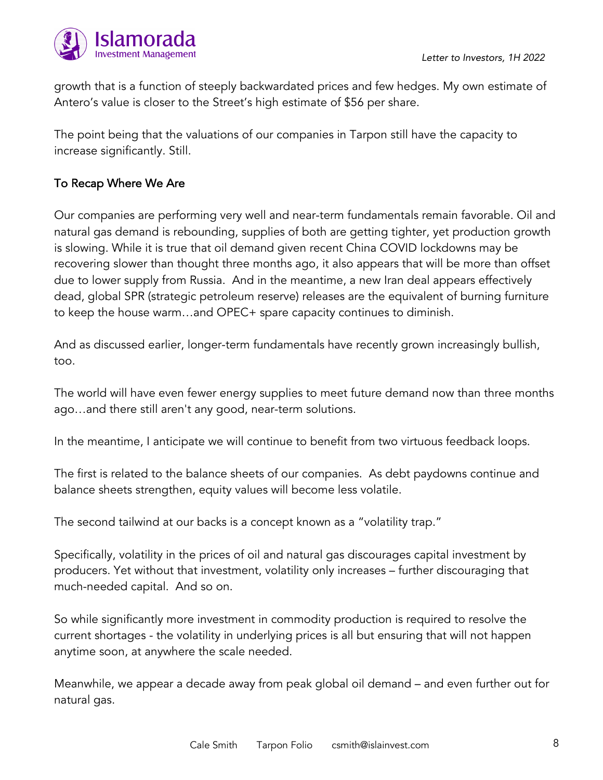

growth that is a function of steeply backwardated prices and few hedges. My own estimate of Antero's value is closer to the Street's high estimate of \$56 per share.

The point being that the valuations of our companies in Tarpon still have the capacity to increase significantly. Still.

# To Recap Where We Are

Our companies are performing very well and near-term fundamentals remain favorable. Oil and natural gas demand is rebounding, supplies of both are getting tighter, yet production growth is slowing. While it is true that oil demand given recent China COVID lockdowns may be recovering slower than thought three months ago, it also appears that will be more than offset due to lower supply from Russia. And in the meantime, a new Iran deal appears effectively dead, global SPR (strategic petroleum reserve) releases are the equivalent of burning furniture to keep the house warm…and OPEC+ spare capacity continues to diminish.

And as discussed earlier, longer-term fundamentals have recently grown increasingly bullish, too.

The world will have even fewer energy supplies to meet future demand now than three months ago…and there still aren't any good, near-term solutions.

In the meantime, I anticipate we will continue to benefit from two virtuous feedback loops.

The first is related to the balance sheets of our companies. As debt paydowns continue and balance sheets strengthen, equity values will become less volatile.

The second tailwind at our backs is a concept known as a "volatility trap."

Specifically, volatility in the prices of oil and natural gas discourages capital investment by producers. Yet without that investment, volatility only increases – further discouraging that much-needed capital. And so on.

So while significantly more investment in commodity production is required to resolve the current shortages - the volatility in underlying prices is all but ensuring that will not happen anytime soon, at anywhere the scale needed.

Meanwhile, we appear a decade away from peak global oil demand – and even further out for natural gas.